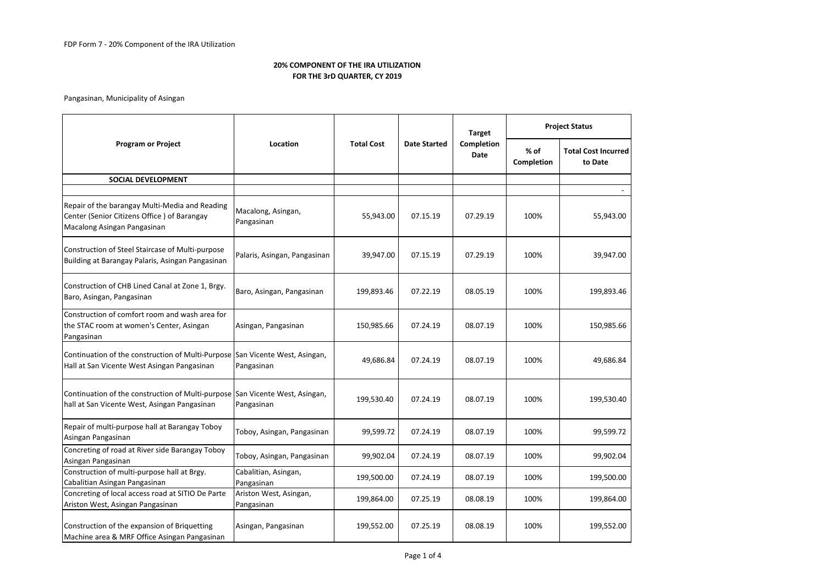Pangasinan, Municipality of Asingan

| <b>Program or Project</b>                                                                                                    | Location                                 | <b>Total Cost</b> | <b>Date Started</b> | <b>Target</b><br>Completion<br>Date | <b>Project Status</b> |                                       |
|------------------------------------------------------------------------------------------------------------------------------|------------------------------------------|-------------------|---------------------|-------------------------------------|-----------------------|---------------------------------------|
|                                                                                                                              |                                          |                   |                     |                                     | % of<br>Completion    | <b>Total Cost Incurred</b><br>to Date |
| SOCIAL DEVELOPMENT                                                                                                           |                                          |                   |                     |                                     |                       |                                       |
|                                                                                                                              |                                          |                   |                     |                                     |                       |                                       |
| Repair of the barangay Multi-Media and Reading<br>Center (Senior Citizens Office) of Barangay<br>Macalong Asingan Pangasinan | Macalong, Asingan,<br>Pangasinan         | 55,943.00         | 07.15.19            | 07.29.19                            | 100%                  | 55,943.00                             |
| Construction of Steel Staircase of Multi-purpose<br>Building at Barangay Palaris, Asingan Pangasinan                         | Palaris, Asingan, Pangasinan             | 39,947.00         | 07.15.19            | 07.29.19                            | 100%                  | 39,947.00                             |
| Construction of CHB Lined Canal at Zone 1, Brgy.<br>Baro, Asingan, Pangasinan                                                | Baro, Asingan, Pangasinan                | 199,893.46        | 07.22.19            | 08.05.19                            | 100%                  | 199,893.46                            |
| Construction of comfort room and wash area for<br>the STAC room at women's Center, Asingan<br>Pangasinan                     | Asingan, Pangasinan                      | 150,985.66        | 07.24.19            | 08.07.19                            | 100%                  | 150,985.66                            |
| Continuation of the construction of Multi-Purpose<br>Hall at San Vicente West Asingan Pangasinan                             | San Vicente West, Asingan,<br>Pangasinan | 49,686.84         | 07.24.19            | 08.07.19                            | 100%                  | 49,686.84                             |
| Continuation of the construction of Multi-purpose San Vicente West, Asingan,<br>hall at San Vicente West, Asingan Pangasinan | Pangasinan                               | 199,530.40        | 07.24.19            | 08.07.19                            | 100%                  | 199,530.40                            |
| Repair of multi-purpose hall at Barangay Toboy<br>Asingan Pangasinan                                                         | Toboy, Asingan, Pangasinan               | 99,599.72         | 07.24.19            | 08.07.19                            | 100%                  | 99,599.72                             |
| Concreting of road at River side Barangay Toboy<br>Asingan Pangasinan                                                        | Toboy, Asingan, Pangasinan               | 99,902.04         | 07.24.19            | 08.07.19                            | 100%                  | 99,902.04                             |
| Construction of multi-purpose hall at Brgy.<br>Cabalitian Asingan Pangasinan                                                 | Cabalitian, Asingan,<br>Pangasinan       | 199,500.00        | 07.24.19            | 08.07.19                            | 100%                  | 199,500.00                            |
| Concreting of local access road at SITIO De Parte<br>Ariston West, Asingan Pangasinan                                        | Ariston West, Asingan,<br>Pangasinan     | 199,864.00        | 07.25.19            | 08.08.19                            | 100%                  | 199,864.00                            |
| Construction of the expansion of Briquetting<br>Machine area & MRF Office Asingan Pangasinan                                 | Asingan, Pangasinan                      | 199,552.00        | 07.25.19            | 08.08.19                            | 100%                  | 199,552.00                            |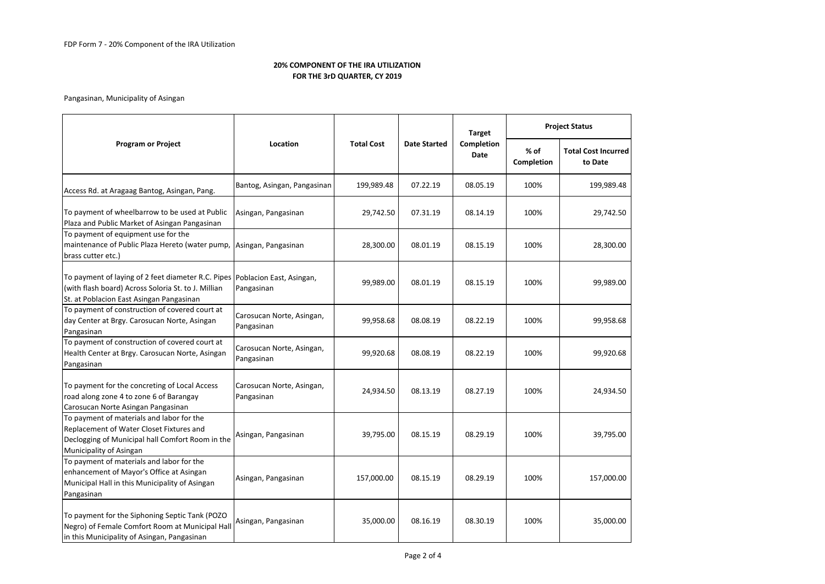Pangasinan, Municipality of Asingan

| <b>Program or Project</b>                                                                                                                                                      | Location                                | <b>Total Cost</b> | <b>Date Started</b> | <b>Target</b>      | <b>Project Status</b> |                                       |
|--------------------------------------------------------------------------------------------------------------------------------------------------------------------------------|-----------------------------------------|-------------------|---------------------|--------------------|-----------------------|---------------------------------------|
|                                                                                                                                                                                |                                         |                   |                     | Completion<br>Date | % of<br>Completion    | <b>Total Cost Incurred</b><br>to Date |
| Access Rd. at Aragaag Bantog, Asingan, Pang.                                                                                                                                   | Bantog, Asingan, Pangasinan             | 199,989.48        | 07.22.19            | 08.05.19           | 100%                  | 199,989.48                            |
| To payment of wheelbarrow to be used at Public<br>Plaza and Public Market of Asingan Pangasinan                                                                                | Asingan, Pangasinan                     | 29,742.50         | 07.31.19            | 08.14.19           | 100%                  | 29,742.50                             |
| To payment of equipment use for the<br>maintenance of Public Plaza Hereto (water pump, Asingan, Pangasinan<br>brass cutter etc.)                                               |                                         | 28,300.00         | 08.01.19            | 08.15.19           | 100%                  | 28,300.00                             |
| To payment of laying of 2 feet diameter R.C. Pipes Poblacion East, Asingan,<br>(with flash board) Across Soloria St. to J. Millian<br>St. at Poblacion East Asingan Pangasinan | Pangasinan                              | 99,989.00         | 08.01.19            | 08.15.19           | 100%                  | 99,989.00                             |
| To payment of construction of covered court at<br>day Center at Brgy. Carosucan Norte, Asingan<br>Pangasinan                                                                   | Carosucan Norte, Asingan,<br>Pangasinan | 99,958.68         | 08.08.19            | 08.22.19           | 100%                  | 99,958.68                             |
| To payment of construction of covered court at<br>Health Center at Brgy. Carosucan Norte, Asingan<br>Pangasinan                                                                | Carosucan Norte, Asingan,<br>Pangasinan | 99,920.68         | 08.08.19            | 08.22.19           | 100%                  | 99,920.68                             |
| To payment for the concreting of Local Access<br>road along zone 4 to zone 6 of Barangay<br>Carosucan Norte Asingan Pangasinan                                                 | Carosucan Norte, Asingan,<br>Pangasinan | 24,934.50         | 08.13.19            | 08.27.19           | 100%                  | 24,934.50                             |
| To payment of materials and labor for the<br>Replacement of Water Closet Fixtures and<br>Declogging of Municipal hall Comfort Room in the<br>Municipality of Asingan           | Asingan, Pangasinan                     | 39,795.00         | 08.15.19            | 08.29.19           | 100%                  | 39,795.00                             |
| To payment of materials and labor for the<br>enhancement of Mayor's Office at Asingan<br>Municipal Hall in this Municipality of Asingan<br>Pangasinan                          | Asingan, Pangasinan                     | 157,000.00        | 08.15.19            | 08.29.19           | 100%                  | 157,000.00                            |
| To payment for the Siphoning Septic Tank (POZO<br>Negro) of Female Comfort Room at Municipal Hall<br>in this Municipality of Asingan, Pangasinan                               | Asingan, Pangasinan                     | 35,000.00         | 08.16.19            | 08.30.19           | 100%                  | 35,000.00                             |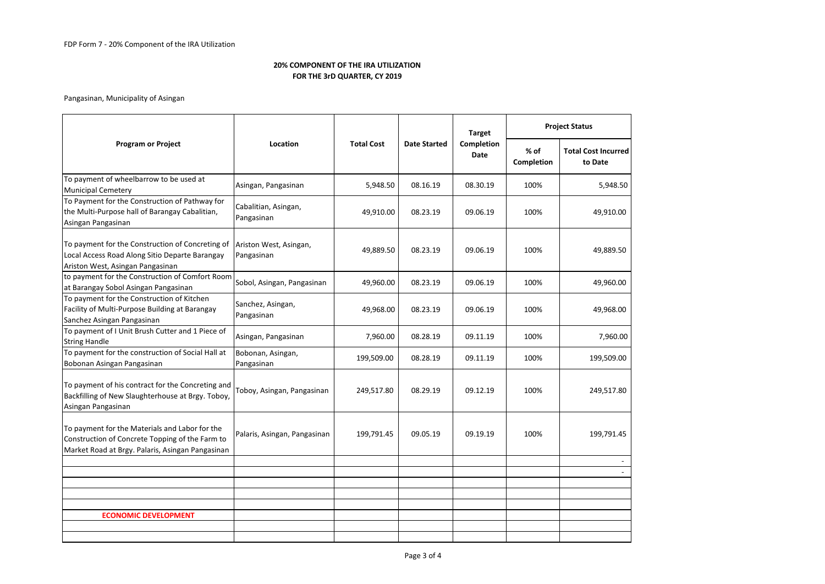# Pangasinan, Municipality of Asingan

| <b>Program or Project</b>                                                                                                                             | Location                             | <b>Total Cost</b> | <b>Date Started</b> | <b>Target</b>             | <b>Project Status</b> |                                       |
|-------------------------------------------------------------------------------------------------------------------------------------------------------|--------------------------------------|-------------------|---------------------|---------------------------|-----------------------|---------------------------------------|
|                                                                                                                                                       |                                      |                   |                     | Completion<br><b>Date</b> | % of<br>Completion    | <b>Total Cost Incurred</b><br>to Date |
| To payment of wheelbarrow to be used at<br><b>Municipal Cemetery</b>                                                                                  | Asingan, Pangasinan                  | 5,948.50          | 08.16.19            | 08.30.19                  | 100%                  | 5,948.50                              |
| To Payment for the Construction of Pathway for<br>the Multi-Purpose hall of Barangay Cabalitian,<br>Asingan Pangasinan                                | Cabalitian, Asingan,<br>Pangasinan   | 49,910.00         | 08.23.19            | 09.06.19                  | 100%                  | 49,910.00                             |
| To payment for the Construction of Concreting of<br>Local Access Road Along Sitio Departe Barangay<br>Ariston West, Asingan Pangasinan                | Ariston West, Asingan,<br>Pangasinan | 49,889.50         | 08.23.19            | 09.06.19                  | 100%                  | 49,889.50                             |
| to payment for the Construction of Comfort Room<br>at Barangay Sobol Asingan Pangasinan                                                               | Sobol, Asingan, Pangasinan           | 49,960.00         | 08.23.19            | 09.06.19                  | 100%                  | 49,960.00                             |
| To payment for the Construction of Kitchen<br>Facility of Multi-Purpose Building at Barangay<br>Sanchez Asingan Pangasinan                            | Sanchez, Asingan,<br>Pangasinan      | 49,968.00         | 08.23.19            | 09.06.19                  | 100%                  | 49,968.00                             |
| To payment of I Unit Brush Cutter and 1 Piece of<br><b>String Handle</b>                                                                              | Asingan, Pangasinan                  | 7,960.00          | 08.28.19            | 09.11.19                  | 100%                  | 7,960.00                              |
| To payment for the construction of Social Hall at<br>Bobonan Asingan Pangasinan                                                                       | Bobonan, Asingan,<br>Pangasinan      | 199,509.00        | 08.28.19            | 09.11.19                  | 100%                  | 199,509.00                            |
| To payment of his contract for the Concreting and<br>Backfilling of New Slaughterhouse at Brgy. Toboy,<br>Asingan Pangasinan                          | Toboy, Asingan, Pangasinan           | 249,517.80        | 08.29.19            | 09.12.19                  | 100%                  | 249,517.80                            |
| To payment for the Materials and Labor for the<br>Construction of Concrete Topping of the Farm to<br>Market Road at Brgy. Palaris, Asingan Pangasinan | Palaris, Asingan, Pangasinan         | 199,791.45        | 09.05.19            | 09.19.19                  | 100%                  | 199,791.45                            |
|                                                                                                                                                       |                                      |                   |                     |                           |                       |                                       |
|                                                                                                                                                       |                                      |                   |                     |                           |                       |                                       |
|                                                                                                                                                       |                                      |                   |                     |                           |                       |                                       |
| <b>ECONOMIC DEVELOPMENT</b>                                                                                                                           |                                      |                   |                     |                           |                       |                                       |
|                                                                                                                                                       |                                      |                   |                     |                           |                       |                                       |